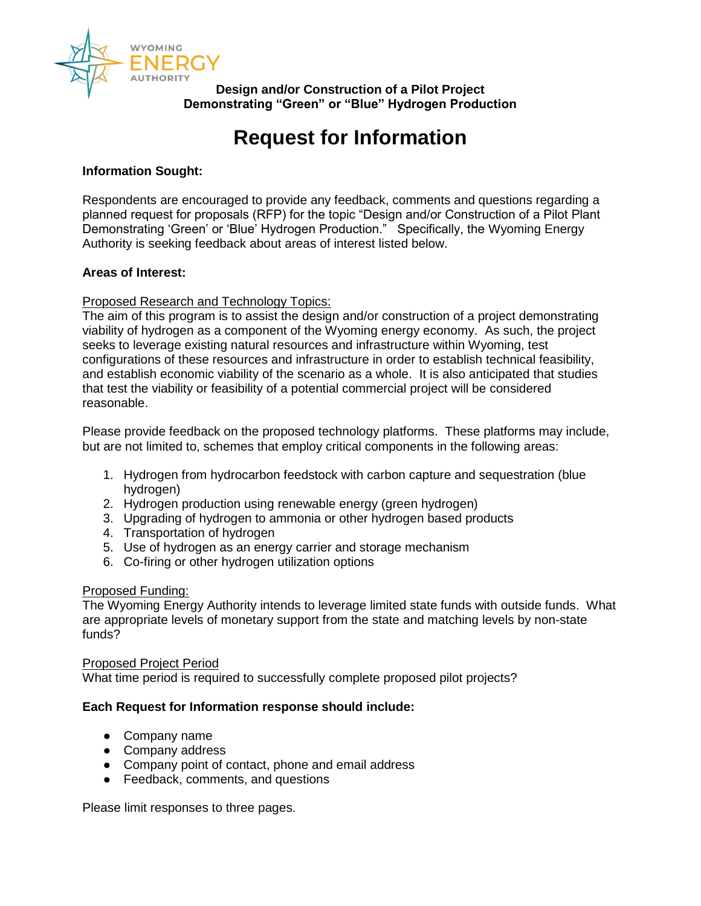

**Design and/or Construction of a Pilot Project Demonstrating "Green" or "Blue" Hydrogen Production**

# **Request for Information**

## **Information Sought:**

Respondents are encouraged to provide any feedback, comments and questions regarding a planned request for proposals (RFP) for the topic "Design and/or Construction of a Pilot Plant Demonstrating 'Green' or 'Blue' Hydrogen Production." Specifically, the Wyoming Energy Authority is seeking feedback about areas of interest listed below.

## **Areas of Interest:**

# Proposed Research and Technology Topics:

The aim of this program is to assist the design and/or construction of a project demonstrating viability of hydrogen as a component of the Wyoming energy economy. As such, the project seeks to leverage existing natural resources and infrastructure within Wyoming, test configurations of these resources and infrastructure in order to establish technical feasibility, and establish economic viability of the scenario as a whole. It is also anticipated that studies that test the viability or feasibility of a potential commercial project will be considered reasonable.

Please provide feedback on the proposed technology platforms. These platforms may include, but are not limited to, schemes that employ critical components in the following areas:

- 1. Hydrogen from hydrocarbon feedstock with carbon capture and sequestration (blue hydrogen)
- 2. Hydrogen production using renewable energy (green hydrogen)
- 3. Upgrading of hydrogen to ammonia or other hydrogen based products
- 4. Transportation of hydrogen
- 5. Use of hydrogen as an energy carrier and storage mechanism
- 6. Co-firing or other hydrogen utilization options

## Proposed Funding:

The Wyoming Energy Authority intends to leverage limited state funds with outside funds. What are appropriate levels of monetary support from the state and matching levels by non-state funds?

## Proposed Project Period

What time period is required to successfully complete proposed pilot projects?

## **Each Request for Information response should include:**

- Company name
- Company address
- Company point of contact, phone and email address
- Feedback, comments, and questions

Please limit responses to three pages.